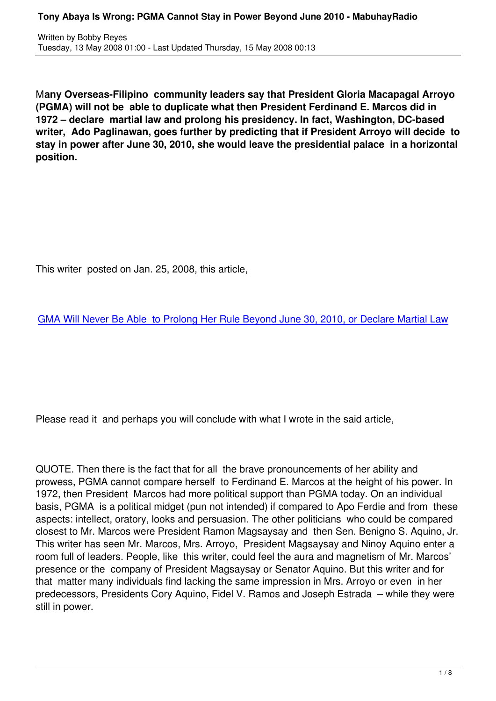M**any Overseas-Filipino community leaders say that President Gloria Macapagal Arroyo (PGMA) will not be able to duplicate what then President Ferdinand E. Marcos did in 1972 – declare martial law and prolong his presidency. In fact, Washington, DC-based writer, Ado Paglinawan, goes further by predicting that if President Arroyo will decide to stay in power after June 30, 2010, she would leave the presidential palace in a horizontal position.**

This writer posted on Jan. 25, 2008, this article,

GMA Will Never Be Able to Prolong Her Rule Beyond June 30, 2010, or Declare Martial Law

Please read it and perhaps you will conclude with what I wrote in the said article,

QUOTE. Then there is the fact that for all the brave pronouncements of her ability and prowess, PGMA cannot compare herself to Ferdinand E. Marcos at the height of his power. In 1972, then President Marcos had more political support than PGMA today. On an individual basis, PGMA is a political midget (pun not intended) if compared to Apo Ferdie and from these aspects: intellect, oratory, looks and persuasion. The other politicians who could be compared closest to Mr. Marcos were President Ramon Magsaysay and then Sen. Benigno S. Aquino, Jr. This writer has seen Mr. Marcos, Mrs. Arroyo, President Magsaysay and Ninoy Aquino enter a room full of leaders. People, like this writer, could feel the aura and magnetism of Mr. Marcos' presence or the company of President Magsaysay or Senator Aquino. But this writer and for that matter many individuals find lacking the same impression in Mrs. Arroyo or even in her predecessors, Presidents Cory Aquino, Fidel V. Ramos and Joseph Estrada – while they were still in power.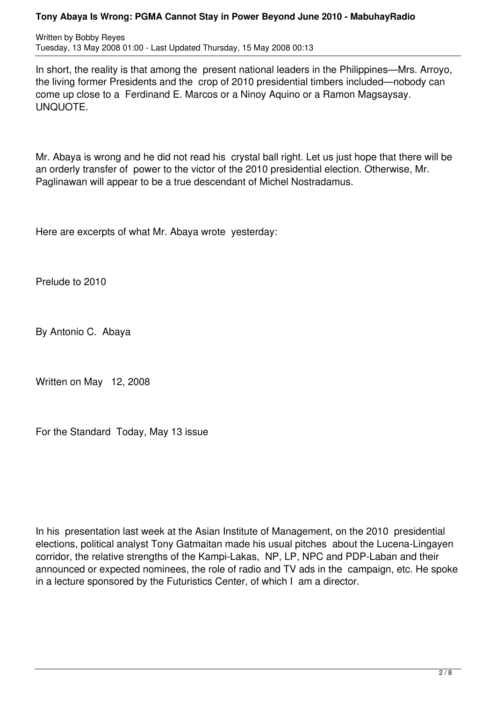## **Tony Abaya Is Wrong: PGMA Cannot Stay in Power Beyond June 2010 - MabuhayRadio**

Written by Bobby Reyes Tuesday, 13 May 2008 01:00 - Last Updated Thursday, 15 May 2008 00:13

In short, the reality is that among the present national leaders in the Philippines—Mrs. Arroyo, the living former Presidents and the crop of 2010 presidential timbers included—nobody can come up close to a Ferdinand E. Marcos or a Ninoy Aquino or a Ramon Magsaysay. UNQUOTE.

Mr. Abaya is wrong and he did not read his crystal ball right. Let us just hope that there will be an orderly transfer of power to the victor of the 2010 presidential election. Otherwise, Mr. Paglinawan will appear to be a true descendant of Michel Nostradamus.

Here are excerpts of what Mr. Abaya wrote yesterday:

Prelude to 2010

By Antonio C. Abaya

Written on May 12, 2008

For the Standard Today, May 13 issue

In his presentation last week at the Asian Institute of Management, on the 2010 presidential elections, political analyst Tony Gatmaitan made his usual pitches about the Lucena-Lingayen corridor, the relative strengths of the Kampi-Lakas, NP, LP, NPC and PDP-Laban and their announced or expected nominees, the role of radio and TV ads in the campaign, etc. He spoke in a lecture sponsored by the Futuristics Center, of which I am a director.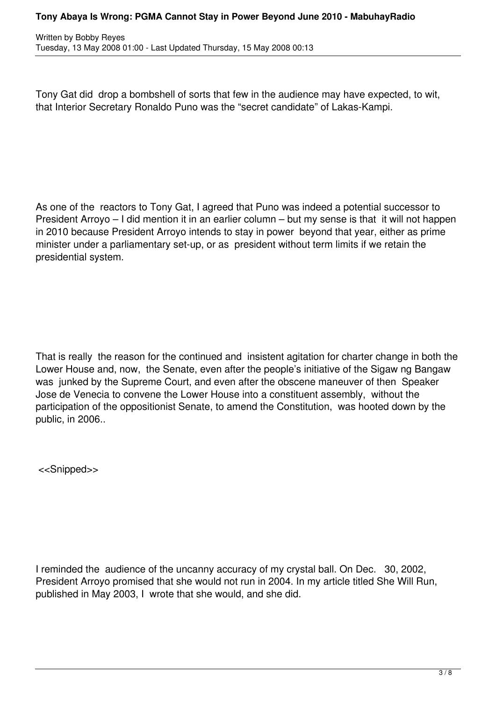## **Tony Abaya Is Wrong: PGMA Cannot Stay in Power Beyond June 2010 - MabuhayRadio**

Written by Bobby Reyes Tuesday, 13 May 2008 01:00 - Last Updated Thursday, 15 May 2008 00:13

Tony Gat did drop a bombshell of sorts that few in the audience may have expected, to wit, that Interior Secretary Ronaldo Puno was the "secret candidate" of Lakas-Kampi.

As one of the reactors to Tony Gat, I agreed that Puno was indeed a potential successor to President Arroyo – I did mention it in an earlier column – but my sense is that it will not happen in 2010 because President Arroyo intends to stay in power beyond that year, either as prime minister under a parliamentary set-up, or as president without term limits if we retain the presidential system.

That is really the reason for the continued and insistent agitation for charter change in both the Lower House and, now, the Senate, even after the people's initiative of the Sigaw ng Bangaw was junked by the Supreme Court, and even after the obscene maneuver of then Speaker Jose de Venecia to convene the Lower House into a constituent assembly, without the participation of the oppositionist Senate, to amend the Constitution, was hooted down by the public, in 2006..

<<Snipped>>

I reminded the audience of the uncanny accuracy of my crystal ball. On Dec. 30, 2002, President Arroyo promised that she would not run in 2004. In my article titled She Will Run, published in May 2003, I wrote that she would, and she did.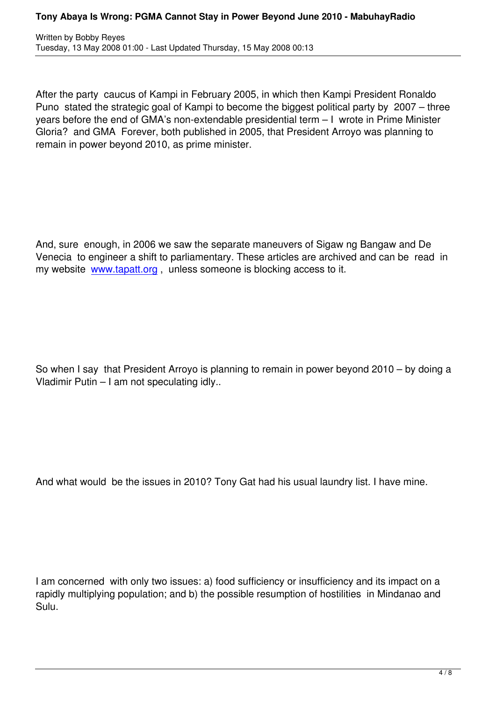After the party caucus of Kampi in February 2005, in which then Kampi President Ronaldo Puno stated the strategic goal of Kampi to become the biggest political party by 2007 – three years before the end of GMA's non-extendable presidential term – I wrote in Prime Minister Gloria? and GMA Forever, both published in 2005, that President Arroyo was planning to remain in power beyond 2010, as prime minister.

And, sure enough, in 2006 we saw the separate maneuvers of Sigaw ng Bangaw and De Venecia to engineer a shift to parliamentary. These articles are archived and can be read in my website www.tapatt.org, unless someone is blocking access to it.

So when I say that President Arroyo is planning to remain in power beyond 2010 – by doing a Vladimir Putin – I am not speculating idly..

And what would be the issues in 2010? Tony Gat had his usual laundry list. I have mine.

I am concerned with only two issues: a) food sufficiency or insufficiency and its impact on a rapidly multiplying population; and b) the possible resumption of hostilities in Mindanao and Sulu.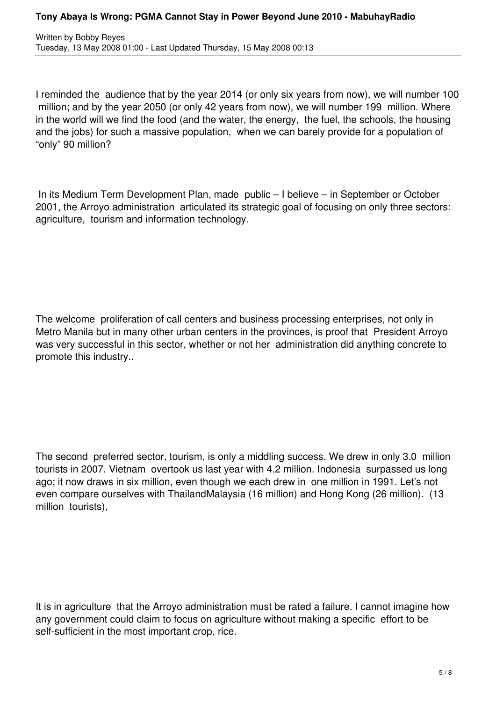Written by Bobby Reyes Tuesday, 13 May 2008 01:00 - Last Updated Thursday, 15 May 2008 00:13

I reminded the audience that by the year 2014 (or only six years from now), we will number 100 million; and by the year 2050 (or only 42 years from now), we will number 199 million. Where in the world will we find the food (and the water, the energy, the fuel, the schools, the housing and the jobs) for such a massive population, when we can barely provide for a population of "only" 90 million?

 In its Medium Term Development Plan, made public – I believe – in September or October 2001, the Arroyo administration articulated its strategic goal of focusing on only three sectors: agriculture, tourism and information technology.

The welcome proliferation of call centers and business processing enterprises, not only in Metro Manila but in many other urban centers in the provinces, is proof that President Arroyo was very successful in this sector, whether or not her administration did anything concrete to promote this industry..

The second preferred sector, tourism, is only a middling success. We drew in only 3.0 million tourists in 2007. Vietnam overtook us last year with 4.2 million. Indonesia surpassed us long ago; it now draws in six million, even though we each drew in one million in 1991. Let's not even compare ourselves with ThailandMalaysia (16 million) and Hong Kong (26 million). (13 million tourists),

It is in agriculture that the Arroyo administration must be rated a failure. I cannot imagine how any government could claim to focus on agriculture without making a specific effort to be self-sufficient in the most important crop, rice.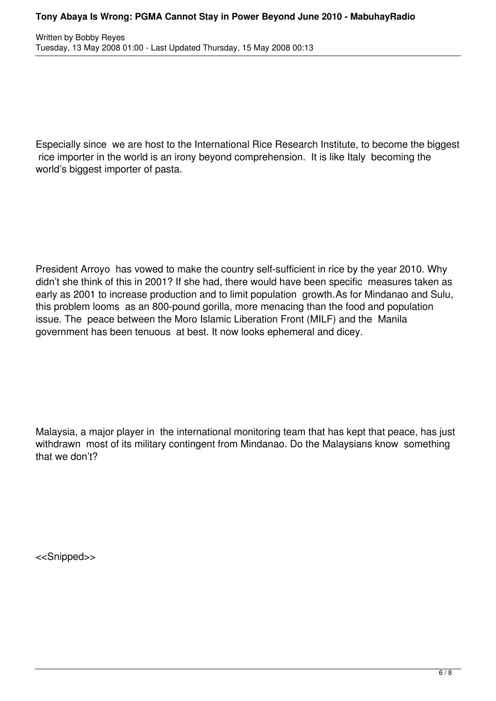Especially since we are host to the International Rice Research Institute, to become the biggest rice importer in the world is an irony beyond comprehension. It is like Italy becoming the world's biggest importer of pasta.

President Arroyo has vowed to make the country self-sufficient in rice by the year 2010. Why didn't she think of this in 2001? If she had, there would have been specific measures taken as early as 2001 to increase production and to limit population growth.As for Mindanao and Sulu, this problem looms as an 800-pound gorilla, more menacing than the food and population issue. The peace between the Moro Islamic Liberation Front (MILF) and the Manila government has been tenuous at best. It now looks ephemeral and dicey.

Malaysia, a major player in the international monitoring team that has kept that peace, has just withdrawn most of its military contingent from Mindanao. Do the Malaysians know something that we don't?

<<Snipped>>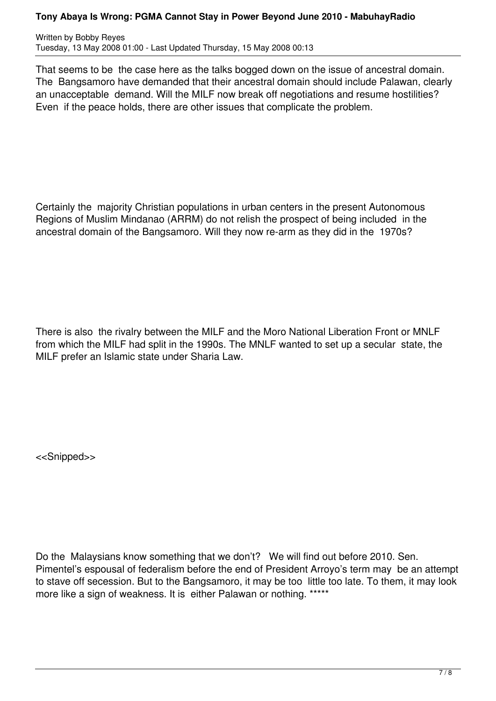## **Tony Abaya Is Wrong: PGMA Cannot Stay in Power Beyond June 2010 - MabuhayRadio**

Written by Bobby Reyes Tuesday, 13 May 2008 01:00 - Last Updated Thursday, 15 May 2008 00:13

That seems to be the case here as the talks bogged down on the issue of ancestral domain. The Bangsamoro have demanded that their ancestral domain should include Palawan, clearly an unacceptable demand. Will the MILF now break off negotiations and resume hostilities? Even if the peace holds, there are other issues that complicate the problem.

Certainly the majority Christian populations in urban centers in the present Autonomous Regions of Muslim Mindanao (ARRM) do not relish the prospect of being included in the ancestral domain of the Bangsamoro. Will they now re-arm as they did in the 1970s?

There is also the rivalry between the MILF and the Moro National Liberation Front or MNLF from which the MILF had split in the 1990s. The MNLF wanted to set up a secular state, the MILF prefer an Islamic state under Sharia Law.

<<Snipped>>

Do the Malaysians know something that we don't? We will find out before 2010. Sen. Pimentel's espousal of federalism before the end of President Arroyo's term may be an attempt to stave off secession. But to the Bangsamoro, it may be too little too late. To them, it may look more like a sign of weakness. It is either Palawan or nothing. \*\*\*\*\*